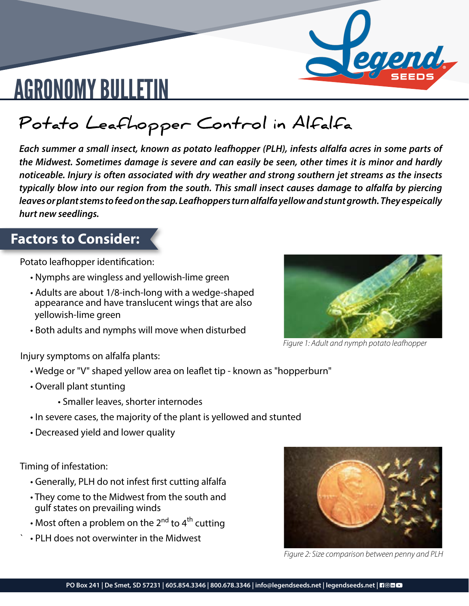

## AGRONOMY BULLETIN

**Potato Leafhopper Control in Alfalfa**

*Each summer a small insect, known as potato leafhopper (PLH), infests alfalfa acres in some parts of the Midwest. Sometimes damage is severe and can easily be seen, other times it is minor and hardly noticeable. Injury is often associated with dry weather and strong southern jet streams as the insects typically blow into our region from the south. This small insect causes damage to alfalfa by piercing leaves or plant stems to feed on the sap. Leafhoppers turn alfalfa yellow and stunt growth. They espeically hurt new seedlings.* 

### **Factors to Consider:**

Potato leafhopper identification:

- Nymphs are wingless and yellowish-lime green
- Adults are about 1/8-inch-long with a wedge-shaped appearance and have translucent wings that are also yellowish-lime green
- Both adults and nymphs will move when disturbed



*Figure 1: Adult and nymph potato leafhopper*

Injury symptoms on alfalfa plants:

- Wedge or "V" shaped yellow area on leaflet tip known as "hopperburn"
- Overall plant stunting
	- Smaller leaves, shorter internodes
- In severe cases, the majority of the plant is yellowed and stunted
- Decreased yield and lower quality

Timing of infestation:

- Generally, PLH do not infest first cutting alfalfa
- They come to the Midwest from the south and gulf states on prevailing winds
- Most often a problem on the 2<sup>nd</sup> to 4<sup>th</sup> cutting
- ` PLH does not overwinter in the Midwest



*Figure 2: Size comparison between penny and PLH*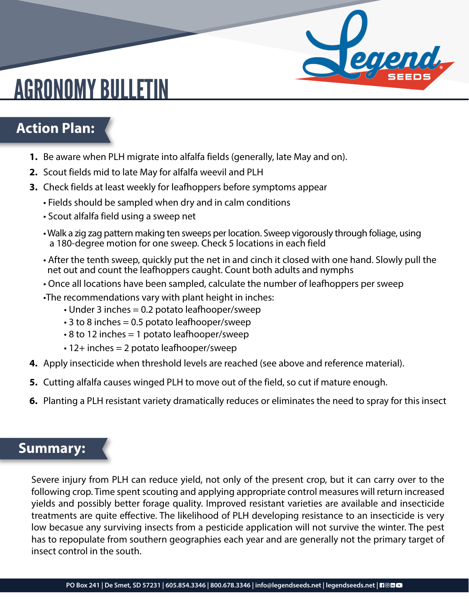## AGRONOMY BULLETIN

### **Action Plan:**

- **1.** Be aware when PLH migrate into alfalfa fields (generally, late May and on).
- **2.** Scout fields mid to late May for alfalfa weevil and PLH
- **3.** Check fields at least weekly for leafhoppers before symptoms appear
	- Fields should be sampled when dry and in calm conditions
	- Scout alfalfa field using a sweep net
	- Walk a zig zag pattern making ten sweeps per location. Sweep vigorously through foliage, using a 180-degree motion for one sweep. Check 5 locations in each field
	- After the tenth sweep, quickly put the net in and cinch it closed with one hand. Slowly pull the net out and count the leafhoppers caught. Count both adults and nymphs

apha,

- Once all locations have been sampled, calculate the number of leafhoppers per sweep
- •The recommendations vary with plant height in inches:
	- Under 3 inches = 0.2 potato leafhooper/sweep
	- $\cdot$  3 to 8 inches = 0.5 potato leafhooper/sweep
	- 8 to 12 inches = 1 potato leafhooper/sweep
	- 12+ inches = 2 potato leafhooper/sweep
- **4.** Apply insecticide when threshold levels are reached (see above and reference material).
- **5.** Cutting alfalfa causes winged PLH to move out of the field, so cut if mature enough.
- **6.** Planting a PLH resistant variety dramatically reduces or eliminates the need to spray for this insect

#### **Summary:**

Severe injury from PLH can reduce yield, not only of the present crop, but it can carry over to the following crop. Time spent scouting and applying appropriate control measures will return increased yields and possibly better forage quality. Improved resistant varieties are available and insecticide treatments are quite effective. The likelihood of PLH developing resistance to an insecticide is very low becasue any surviving insects from a pesticide application will not survive the winter. The pest has to repopulate from southern geographies each year and are generally not the primary target of insect control in the south.